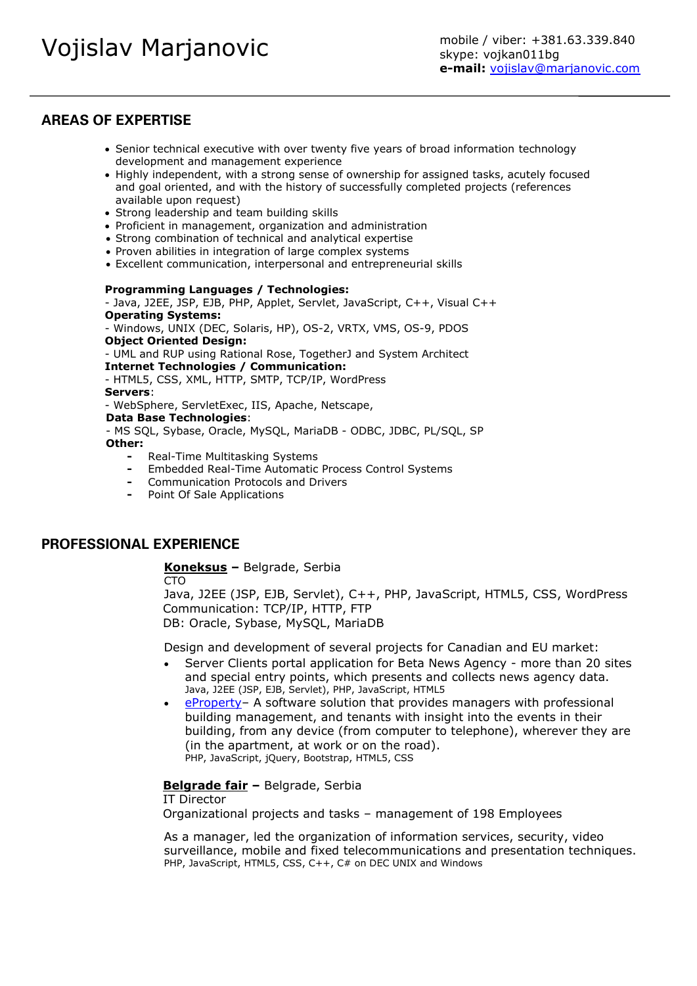# **AREAS OF EXPERTISE**

- Senior technical executive with over twenty five years of broad information technology development and management experience
- Highly independent, with a strong sense of ownership for assigned tasks, acutely focused and goal oriented, and with the history of successfully completed projects (references available upon request)
- Strong leadership and team building skills
- Proficient in management, organization and administration
- Strong combination of technical and analytical expertise
- Proven abilities in integration of large complex systems
- Excellent communication, interpersonal and entrepreneurial skills

#### **Programming Languages / Technologies:**

- Java, J2EE, JSP, EJB, PHP, Applet, Servlet, JavaScript, C++, Visual C++ **Operating Systems:**

- Windows, UNIX (DEC, Solaris, HP), OS-2, VRTX, VMS, OS-9, PDOS **Object Oriented Design:** 

- UML and RUP using Rational Rose, TogetherJ and System Architect

#### **Internet Technologies / Communication:**

- HTML5, CSS, XML, HTTP, SMTP, TCP/IP, WordPress

**Servers**:

- WebSphere, ServletExec, IIS, Apache, Netscape,

**Data Base Technologies**:

- MS SQL, Sybase, Oracle, MySQL, MariaDB - ODBC, JDBC, PL/SQL, SP **Other:**

- **-** Real-Time Multitasking Systems
- **-** Embedded Real-Time Automatic Process Control Systems
- **-** Communication Protocols and Drivers
- **-** Point Of Sale Applications

# **PROFESSIONAL EXPERIENCE**

**[Koneksus](http://koneksus.com/) –** Belgrade, Serbia

CTO

Java, J2EE (JSP, EJB, Servlet), C++, PHP, JavaScript, HTML5, CSS, WordPress Communication: TCP/IP, HTTP, FTP DB: Oracle, Sybase, MySQL, MariaDB

Design and development of several projects for Canadian and EU market:

- Server Clients portal application for Beta News Agency more than 20 sites and special entry points, which presents and collects news agency data. Java, J2EE (JSP, EJB, Servlet), PHP, JavaScript, HTML5
- [eProperty](https://kis.rs/) A software solution that provides managers with professional building management, and tenants with insight into the events in their building, from any device (from computer to telephone), wherever they are (in the apartment, at work or on the road). PHP, JavaScript, jQuery, Bootstrap, HTML5, CSS

### **[Belgrade fair](http://sajam.rs/active/en/home.html) –** Belgrade, Serbia

IT Director

Organizational projects and tasks – management of 198 Employees

As a manager, led the organization of information services, security, video surveillance, mobile and fixed telecommunications and presentation techniques. PHP, JavaScript, HTML5, CSS, C++, C# on DEC UNIX and Windows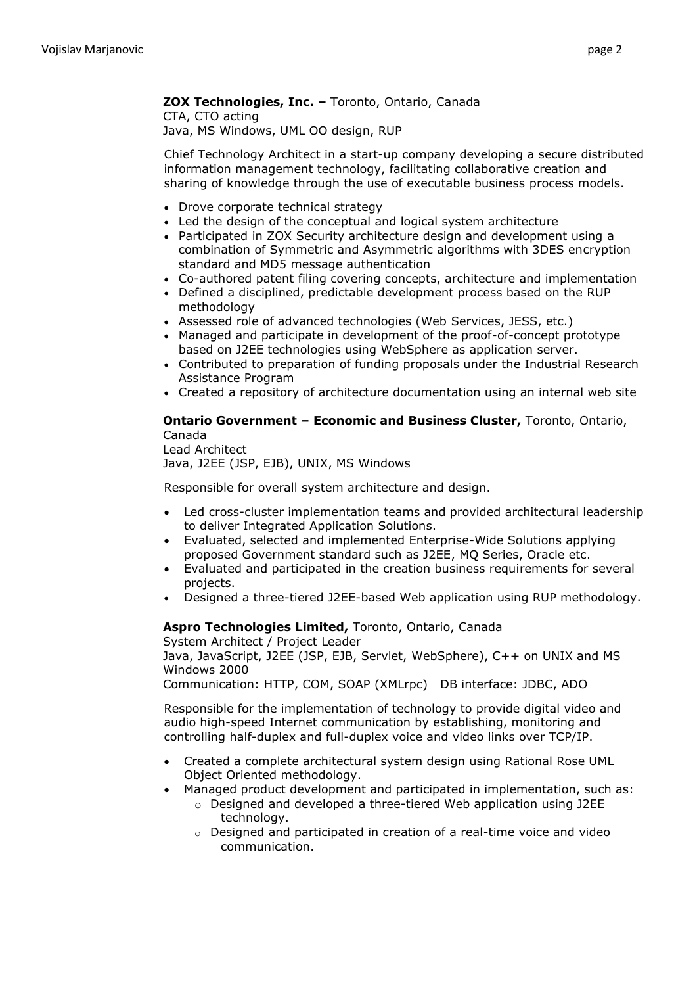# **ZOX Technologies, Inc. –** Toronto, Ontario, Canada

CTA, CTO acting Java, MS Windows, UML OO design, RUP

Chief Technology Architect in a start-up company developing a secure distributed information management technology, facilitating collaborative creation and sharing of knowledge through the use of executable business process models.

- Drove corporate technical strategy
- Led the design of the conceptual and logical system architecture
- Participated in ZOX Security architecture design and development using a combination of Symmetric and Asymmetric algorithms with 3DES encryption standard and MD5 message authentication
- Co-authored patent filing covering concepts, architecture and implementation
- Defined a disciplined, predictable development process based on the RUP methodology
- Assessed role of advanced technologies (Web Services, JESS, etc.)
- Managed and participate in development of the proof-of-concept prototype based on J2EE technologies using WebSphere as application server.
- Contributed to preparation of funding proposals under the Industrial Research Assistance Program
- Created a repository of architecture documentation using an internal web site

# **Ontario Government – Economic and Business Cluster,** Toronto, Ontario, Canada

Lead Architect Java, J2EE (JSP, EJB), UNIX, MS Windows

Responsible for overall system architecture and design.

- Led cross-cluster implementation teams and provided architectural leadership to deliver Integrated Application Solutions.
- Evaluated, selected and implemented Enterprise-Wide Solutions applying proposed Government standard such as J2EE, MQ Series, Oracle etc.
- Evaluated and participated in the creation business requirements for several projects.
- Designed a three-tiered J2EE-based Web application using RUP methodology.

# **Aspro Technologies Limited,** Toronto, Ontario, Canada

System Architect / Project Leader Java, JavaScript, J2EE (JSP, EJB, Servlet, WebSphere), C++ on UNIX and MS Windows 2000

Communication: HTTP, COM, SOAP (XMLrpc) DB interface: JDBC, ADO

Responsible for the implementation of technology to provide digital video and audio high-speed Internet communication by establishing, monitoring and controlling half-duplex and full-duplex voice and video links over TCP/IP.

- Created a complete architectural system design using Rational Rose UML Object Oriented methodology.
- Managed product development and participated in implementation, such as:
	- o Designed and developed a three-tiered Web application using J2EE technology.
	- $\circ$  Designed and participated in creation of a real-time voice and video communication.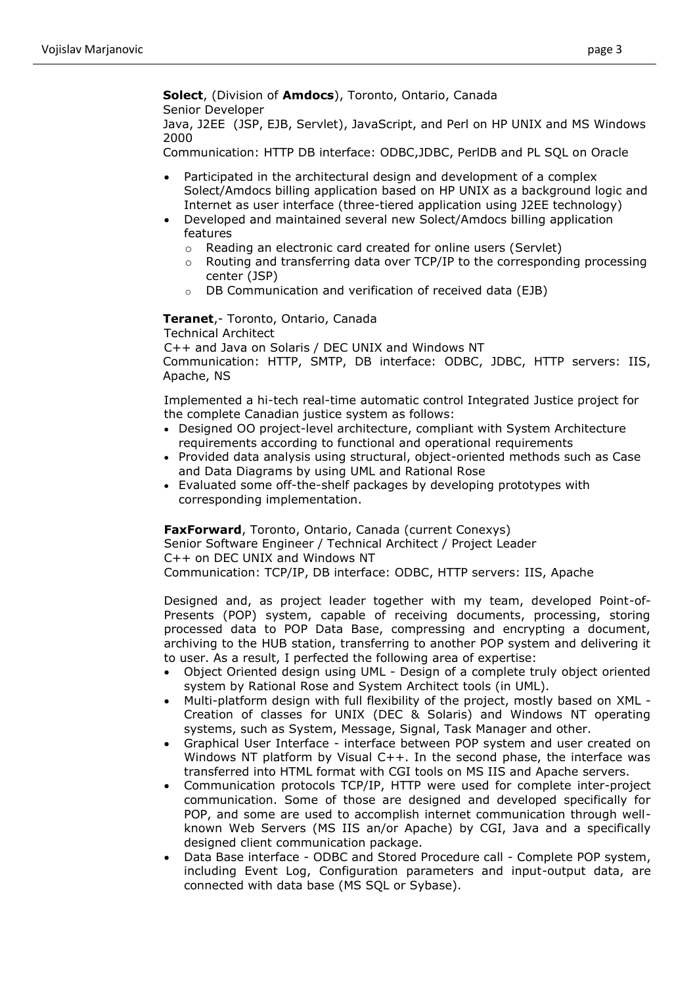**Solect**, (Division of **Amdocs**), Toronto, Ontario, Canada Senior Developer

Java, J2EE (JSP, EJB, Servlet), JavaScript, and Perl on HP UNIX and MS Windows 2000

Communication: HTTP DB interface: ODBC,JDBC, PerlDB and PL SQL on Oracle

- Participated in the architectural design and development of a complex Solect/Amdocs billing application based on HP UNIX as a background logic and Internet as user interface (three-tiered application using J2EE technology)
- Developed and maintained several new Solect/Amdocs billing application features
	- o Reading an electronic card created for online users (Servlet)
	- $\circ$  Routing and transferring data over TCP/IP to the corresponding processing center (JSP)
	- o DB Communication and verification of received data (EJB)

**Teranet**,- Toronto, Ontario, Canada Technical Architect

C++ and Java on Solaris / DEC UNIX and Windows NT Communication: HTTP, SMTP, DB interface: ODBC, JDBC, HTTP servers: IIS, Apache, NS

Implemented a hi-tech real-time automatic control Integrated Justice project for the complete Canadian justice system as follows:

- Designed OO project-level architecture, compliant with System Architecture requirements according to functional and operational requirements
- Provided data analysis using structural, object-oriented methods such as Case and Data Diagrams by using UML and Rational Rose
- Evaluated some off-the-shelf packages by developing prototypes with corresponding implementation.

**FaxForward**, Toronto, Ontario, Canada (current Conexys) Senior Software Engineer / Technical Architect / Project Leader C++ on DEC UNIX and Windows NT

Communication: TCP/IP, DB interface: ODBC, HTTP servers: IIS, Apache

Designed and, as project leader together with my team, developed Point-of-Presents (POP) system, capable of receiving documents, processing, storing processed data to POP Data Base, compressing and encrypting a document, archiving to the HUB station, transferring to another POP system and delivering it to user. As a result, I perfected the following area of expertise:

- Object Oriented design using UML Design of a complete truly object oriented system by Rational Rose and System Architect tools (in UML).
- Multi-platform design with full flexibility of the project, mostly based on XML Creation of classes for UNIX (DEC & Solaris) and Windows NT operating systems, such as System, Message, Signal, Task Manager and other.
- Graphical User Interface interface between POP system and user created on Windows NT platform by Visual C++. In the second phase, the interface was transferred into HTML format with CGI tools on MS IIS and Apache servers.
- Communication protocols TCP/IP, HTTP were used for complete inter-project communication. Some of those are designed and developed specifically for POP, and some are used to accomplish internet communication through wellknown Web Servers (MS IIS an/or Apache) by CGI, Java and a specifically designed client communication package.
- Data Base interface ODBC and Stored Procedure call Complete POP system, including Event Log, Configuration parameters and input-output data, are connected with data base (MS SQL or Sybase).